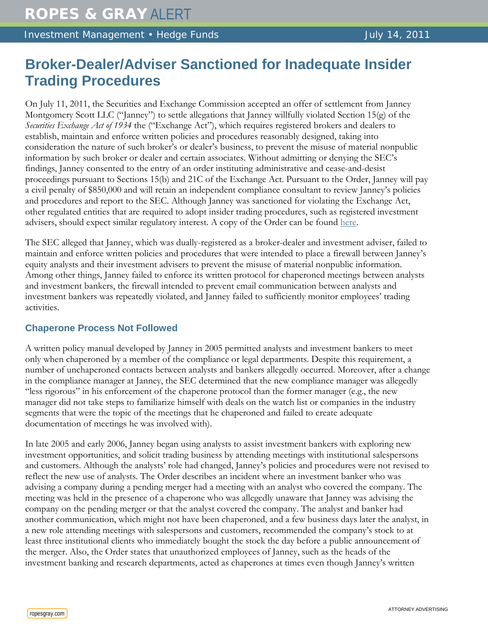Investment Management • Hedge Funds Management + Hedge Funds

# **Broker-Dealer/Adviser Sanctioned for Inadequate Insider Trading Procedures**

On July 11, 2011, the Securities and Exchange Commission accepted an offer of settlement from Janney Montgomery Scott LLC ("Janney") to settle allegations that Janney willfully violated Section 15(g) of the *Securities Exchange Act of 1934* the ("Exchange Act"), which requires registered brokers and dealers to establish, maintain and enforce written policies and procedures reasonably designed, taking into consideration the nature of such broker's or dealer's business, to prevent the misuse of material nonpublic information by such broker or dealer and certain associates. Without admitting or denying the SEC's findings, Janney consented to the entry of an order instituting administrative and cease-and-desist proceedings pursuant to Sections 15(b) and 21C of the Exchange Act. Pursuant to the Order, Janney will pay a civil penalty of \$850,000 and will retain an independent compliance consultant to review Janney's policies and procedures and report to the SEC. Although Janney was sanctioned for violating the Exchange Act, other regulated entities that are required to adopt insider trading procedures, such as registered investment advisers, should expect similar regulatory interest. A copy of the Order can be found [here.](http://www.sec.gov/litigation/admin/2011/34-64855.pdf)

The SEC alleged that Janney, which was dually-registered as a broker-dealer and investment adviser, failed to maintain and enforce written policies and procedures that were intended to place a firewall between Janney's equity analysts and their investment advisers to prevent the misuse of material nonpublic information. Among other things, Janney failed to enforce its written protocol for chaperoned meetings between analysts and investment bankers, the firewall intended to prevent email communication between analysts and investment bankers was repeatedly violated, and Janney failed to sufficiently monitor employees' trading activities.

## **Chaperone Process Not Followed**

A written policy manual developed by Janney in 2005 permitted analysts and investment bankers to meet only when chaperoned by a member of the compliance or legal departments. Despite this requirement, a number of unchaperoned contacts between analysts and bankers allegedly occurred. Moreover, after a change in the compliance manager at Janney, the SEC determined that the new compliance manager was allegedly "less rigorous" in his enforcement of the chaperone protocol than the former manager (e.g., the new manager did not take steps to familiarize himself with deals on the watch list or companies in the industry segments that were the topic of the meetings that he chaperoned and failed to create adequate documentation of meetings he was involved with).

In late 2005 and early 2006, Janney began using analysts to assist investment bankers with exploring new investment opportunities, and solicit trading business by attending meetings with institutional salespersons and customers. Although the analysts' role had changed, Janney's policies and procedures were not revised to reflect the new use of analysts. The Order describes an incident where an investment banker who was advising a company during a pending merger had a meeting with an analyst who covered the company. The meeting was held in the presence of a chaperone who was allegedly unaware that Janney was advising the company on the pending merger or that the analyst covered the company. The analyst and banker had another communication, which might not have been chaperoned, and a few business days later the analyst, in a new role attending meetings with salespersons and customers, recommended the company's stock to at least three institutional clients who immediately bought the stock the day before a public announcement of the merger. Also, the Order states that unauthorized employees of Janney, such as the heads of the investment banking and research departments, acted as chaperones at times even though Janney's written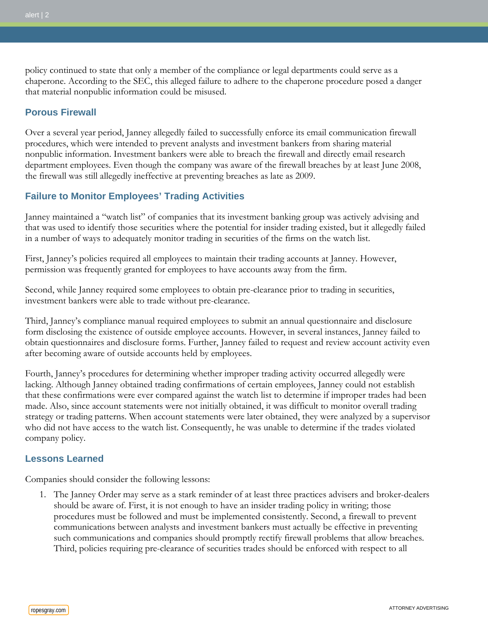policy continued to state that only a member of the compliance or legal departments could serve as a chaperone. According to the SEC, this alleged failure to adhere to the chaperone procedure posed a danger that material nonpublic information could be misused.

### **Porous Firewall**

Over a several year period, Janney allegedly failed to successfully enforce its email communication firewall procedures, which were intended to prevent analysts and investment bankers from sharing material nonpublic information. Investment bankers were able to breach the firewall and directly email research department employees. Even though the company was aware of the firewall breaches by at least June 2008, the firewall was still allegedly ineffective at preventing breaches as late as 2009.

## **Failure to Monitor Employees' Trading Activities**

Janney maintained a "watch list" of companies that its investment banking group was actively advising and that was used to identify those securities where the potential for insider trading existed, but it allegedly failed in a number of ways to adequately monitor trading in securities of the firms on the watch list.

First, Janney's policies required all employees to maintain their trading accounts at Janney. However, permission was frequently granted for employees to have accounts away from the firm.

Second, while Janney required some employees to obtain pre-clearance prior to trading in securities, investment bankers were able to trade without pre-clearance.

Third, Janney's compliance manual required employees to submit an annual questionnaire and disclosure form disclosing the existence of outside employee accounts. However, in several instances, Janney failed to obtain questionnaires and disclosure forms. Further, Janney failed to request and review account activity even after becoming aware of outside accounts held by employees.

Fourth, Janney's procedures for determining whether improper trading activity occurred allegedly were lacking. Although Janney obtained trading confirmations of certain employees, Janney could not establish that these confirmations were ever compared against the watch list to determine if improper trades had been made. Also, since account statements were not initially obtained, it was difficult to monitor overall trading strategy or trading patterns. When account statements were later obtained, they were analyzed by a supervisor who did not have access to the watch list. Consequently, he was unable to determine if the trades violated company policy.

#### **Lessons Learned**

Companies should consider the following lessons:

1. The Janney Order may serve as a stark reminder of at least three practices advisers and broker-dealers should be aware of. First, it is not enough to have an insider trading policy in writing; those procedures must be followed and must be implemented consistently. Second, a firewall to prevent communications between analysts and investment bankers must actually be effective in preventing such communications and companies should promptly rectify firewall problems that allow breaches. Third, policies requiring pre-clearance of securities trades should be enforced with respect to all